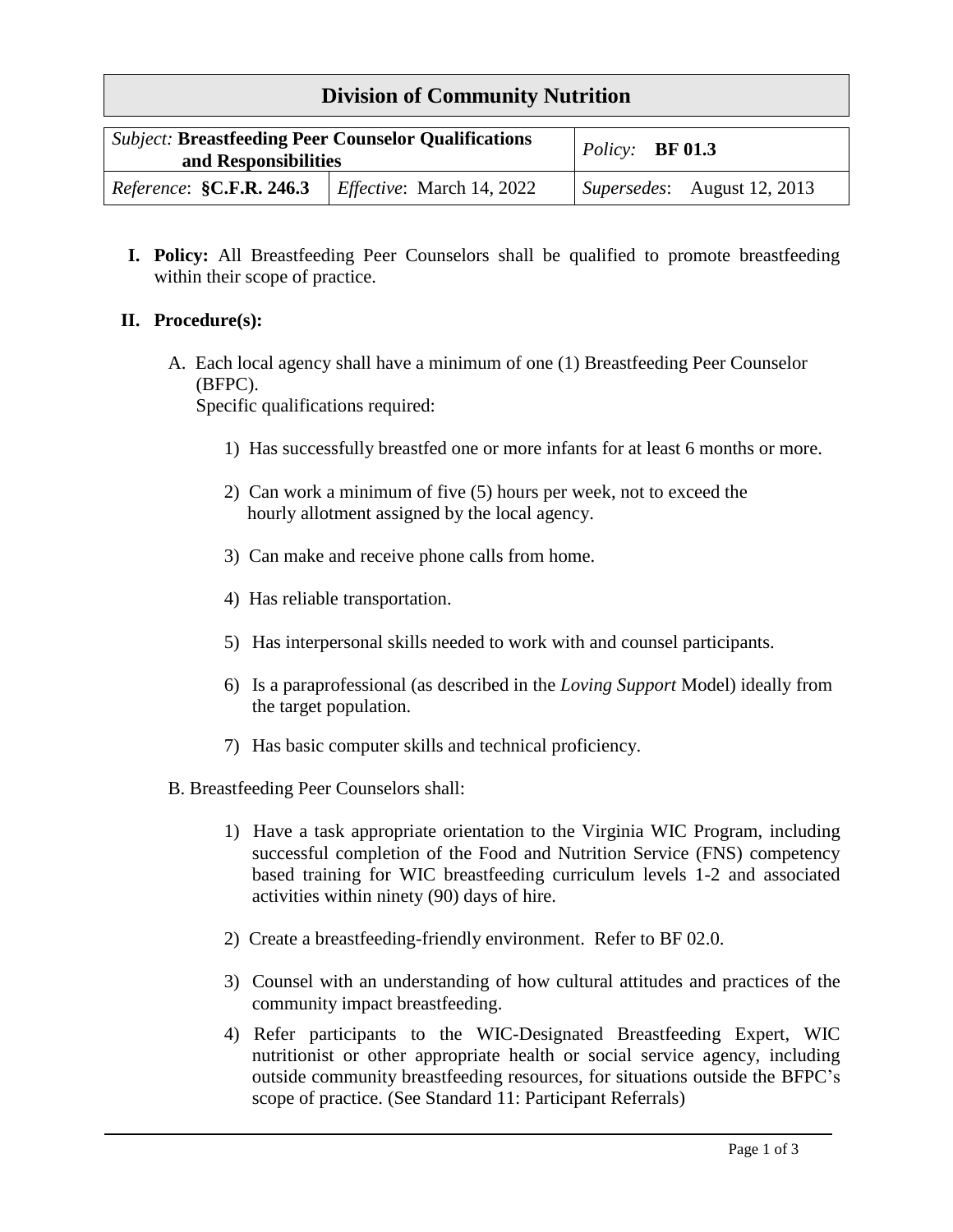## **Division of Community Nutrition**

| <b>Subject: Breastfeeding Peer Counselor Qualifications</b><br>and Responsibilities |                                   | Policy: $BF 01.3$           |
|-------------------------------------------------------------------------------------|-----------------------------------|-----------------------------|
| <i>Reference</i> : <b>§C.F.R. 246.3</b>                                             | <i>Effective</i> : March 14, 2022 | Supersedes: August 12, 2013 |

**I. Policy:** All Breastfeeding Peer Counselors shall be qualified to promote breastfeeding within their scope of practice.

## **II. Procedure(s):**

A. Each local agency shall have a minimum of one (1) Breastfeeding Peer Counselor (BFPC).

Specific qualifications required:

- 1) Has successfully breastfed one or more infants for at least 6 months or more.
- 2) Can work a minimum of five (5) hours per week, not to exceed the hourly allotment assigned by the local agency.
- 3) Can make and receive phone calls from home.
- 4) Has reliable transportation.
- 5) Has interpersonal skills needed to work with and counsel participants.
- 6) Is a paraprofessional (as described in the *Loving Support* Model) ideally from the target population.
- 7) Has basic computer skills and technical proficiency.
- B. Breastfeeding Peer Counselors shall:
	- 1) Have a task appropriate orientation to the Virginia WIC Program, including successful completion of the Food and Nutrition Service (FNS) competency based training for WIC breastfeeding curriculum levels 1-2 and associated activities within ninety (90) days of hire.
	- 2) Create a breastfeeding-friendly environment. Refer to BF 02.0.
	- 3) Counsel with an understanding of how cultural attitudes and practices of the community impact breastfeeding.
	- 4) Refer participants to the WIC-Designated Breastfeeding Expert, WIC nutritionist or other appropriate health or social service agency, including outside community breastfeeding resources, for situations outside the BFPC's scope of practice. (See Standard 11: Participant Referrals)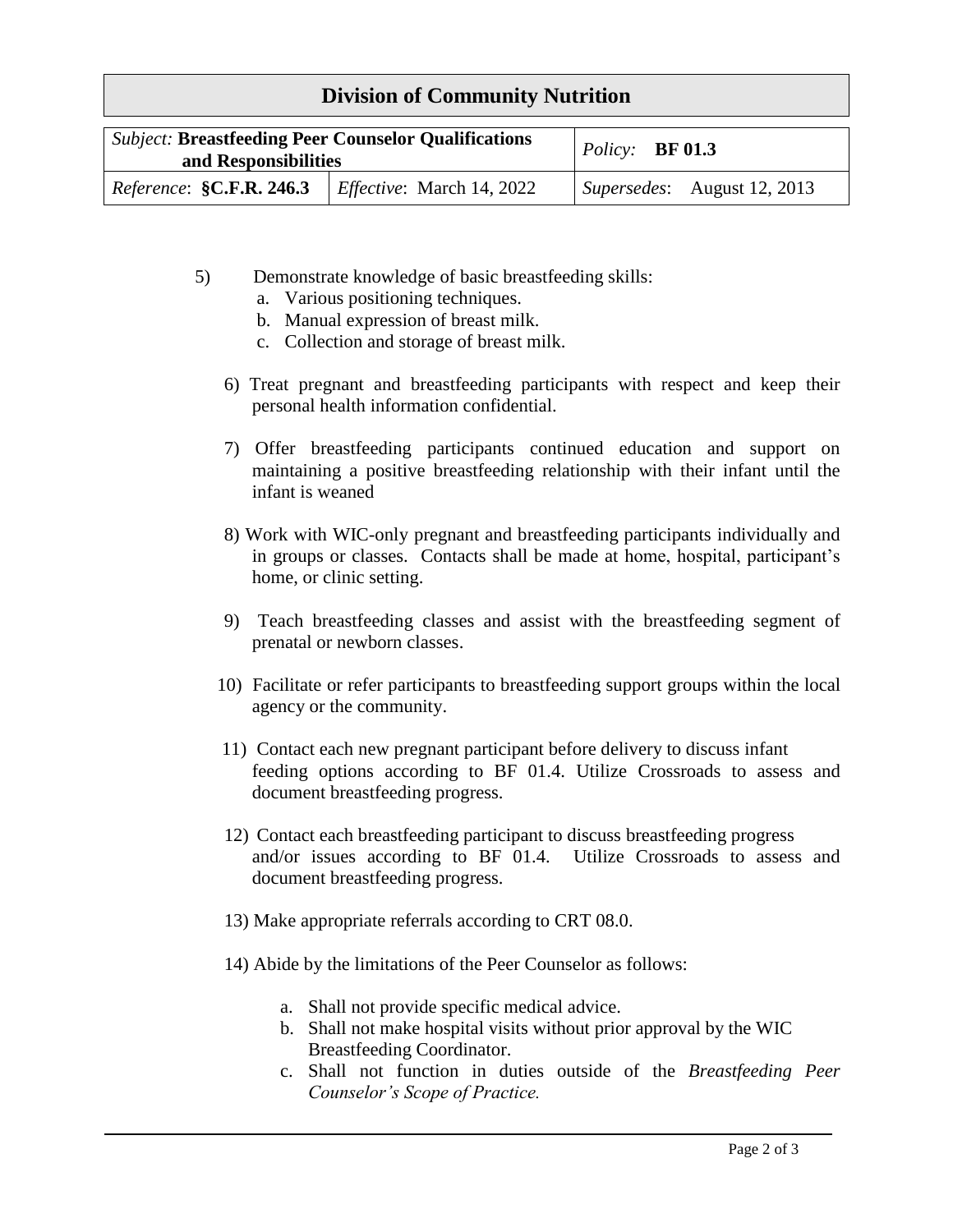## **Division of Community Nutrition**

| <b>Subject: Breastfeeding Peer Counselor Qualifications</b><br>and Responsibilities |                                   | $\angle Policy:$ <b>BF 01.3</b>             |
|-------------------------------------------------------------------------------------|-----------------------------------|---------------------------------------------|
| Reference: <b>§C.F.R. 246.3</b>                                                     | <i>Effective</i> : March 14, 2022 | $\vert$ <i>Supersedes</i> : August 12, 2013 |

- 5) Demonstrate knowledge of basic breastfeeding skills:
	- a. Various positioning techniques.
	- b. Manual expression of breast milk.
	- c. Collection and storage of breast milk.
	- 6) Treat pregnant and breastfeeding participants with respect and keep their personal health information confidential.
	- 7) Offer breastfeeding participants continued education and support on maintaining a positive breastfeeding relationship with their infant until the infant is weaned
	- 8) Work with WIC-only pregnant and breastfeeding participants individually and in groups or classes. Contacts shall be made at home, hospital, participant's home, or clinic setting.
	- 9) Teach breastfeeding classes and assist with the breastfeeding segment of prenatal or newborn classes.
	- 10) Facilitate or refer participants to breastfeeding support groups within the local agency or the community.
	- 11) Contact each new pregnant participant before delivery to discuss infant feeding options according to BF 01.4. Utilize Crossroads to assess and document breastfeeding progress.
	- 12) Contact each breastfeeding participant to discuss breastfeeding progress and/or issues according to BF 01.4. Utilize Crossroads to assess and document breastfeeding progress.
	- 13) Make appropriate referrals according to CRT 08.0.
	- 14) Abide by the limitations of the Peer Counselor as follows:
		- a. Shall not provide specific medical advice.
		- b. Shall not make hospital visits without prior approval by the WIC Breastfeeding Coordinator.
		- c. Shall not function in duties outside of the *Breastfeeding Peer Counselor's Scope of Practice.*